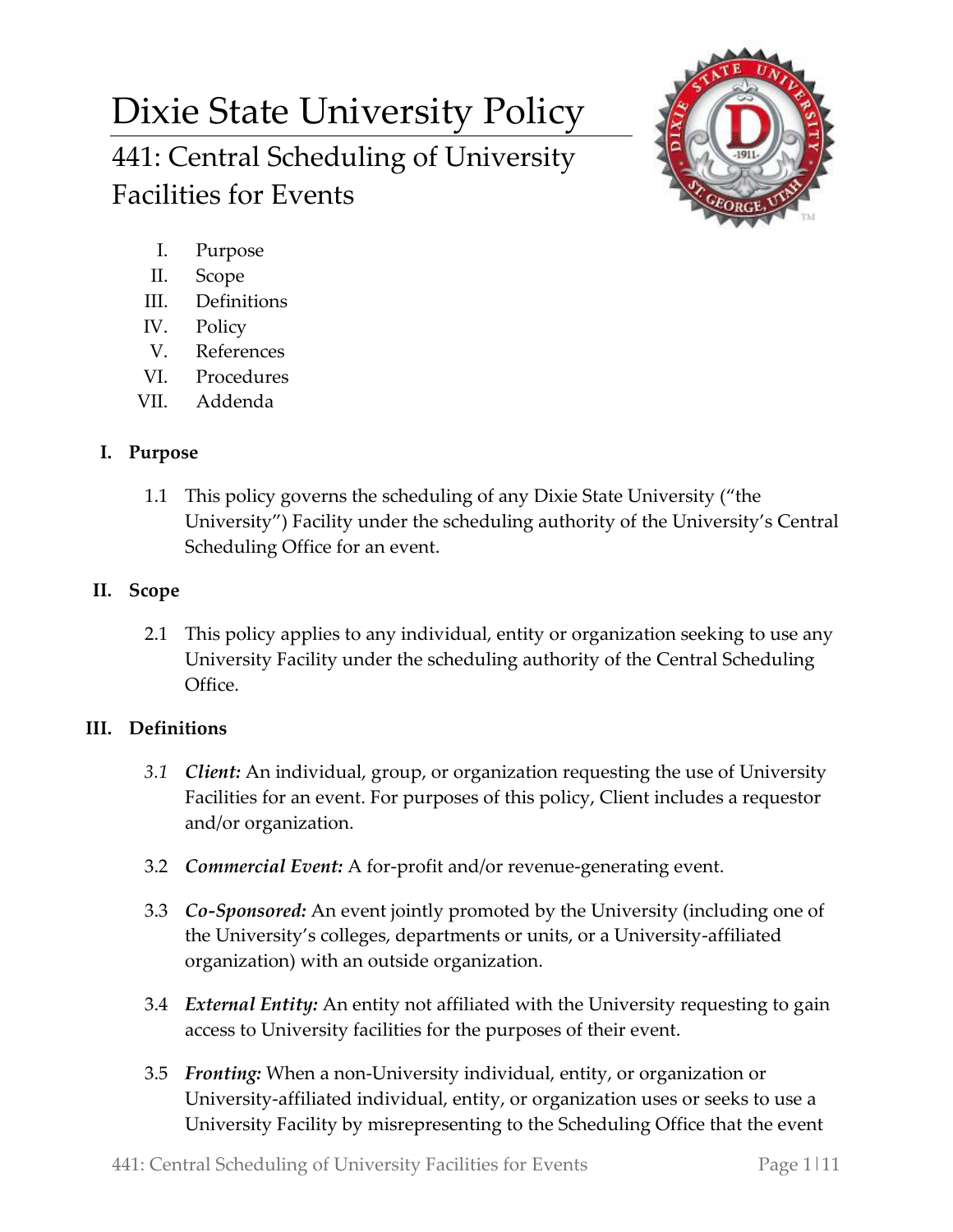# Dixie State University Policy 441: Central Scheduling of University Facilities for Events



- I. Purpose
- II. Scope
- III. Definitions
- IV. Policy
- V. References
- VI. Procedures
- VII. Addenda

# **I. Purpose**

1.1 This policy governs the scheduling of any Dixie State University ("the University") Facility under the scheduling authority of the University's Central Scheduling Office for an event.

# **II. Scope**

2.1 This policy applies to any individual, entity or organization seeking to use any University Facility under the scheduling authority of the Central Scheduling Office.

# **III. Definitions**

- *3.1 Client:* An individual, group, or organization requesting the use of University Facilities for an event. For purposes of this policy, Client includes a requestor and/or organization.
- 3.2 *Commercial Event:* A for-profit and/or revenue-generating event.
- 3.3 *Co-Sponsored:* An event jointly promoted by the University (including one of the University's colleges, departments or units, or a University-affiliated organization) with an outside organization.
- 3.4 *External Entity:* An entity not affiliated with the University requesting to gain access to University facilities for the purposes of their event.
- 3.5 *Fronting:* When a non-University individual, entity, or organization or University-affiliated individual, entity, or organization uses or seeks to use a University Facility by misrepresenting to the Scheduling Office that the event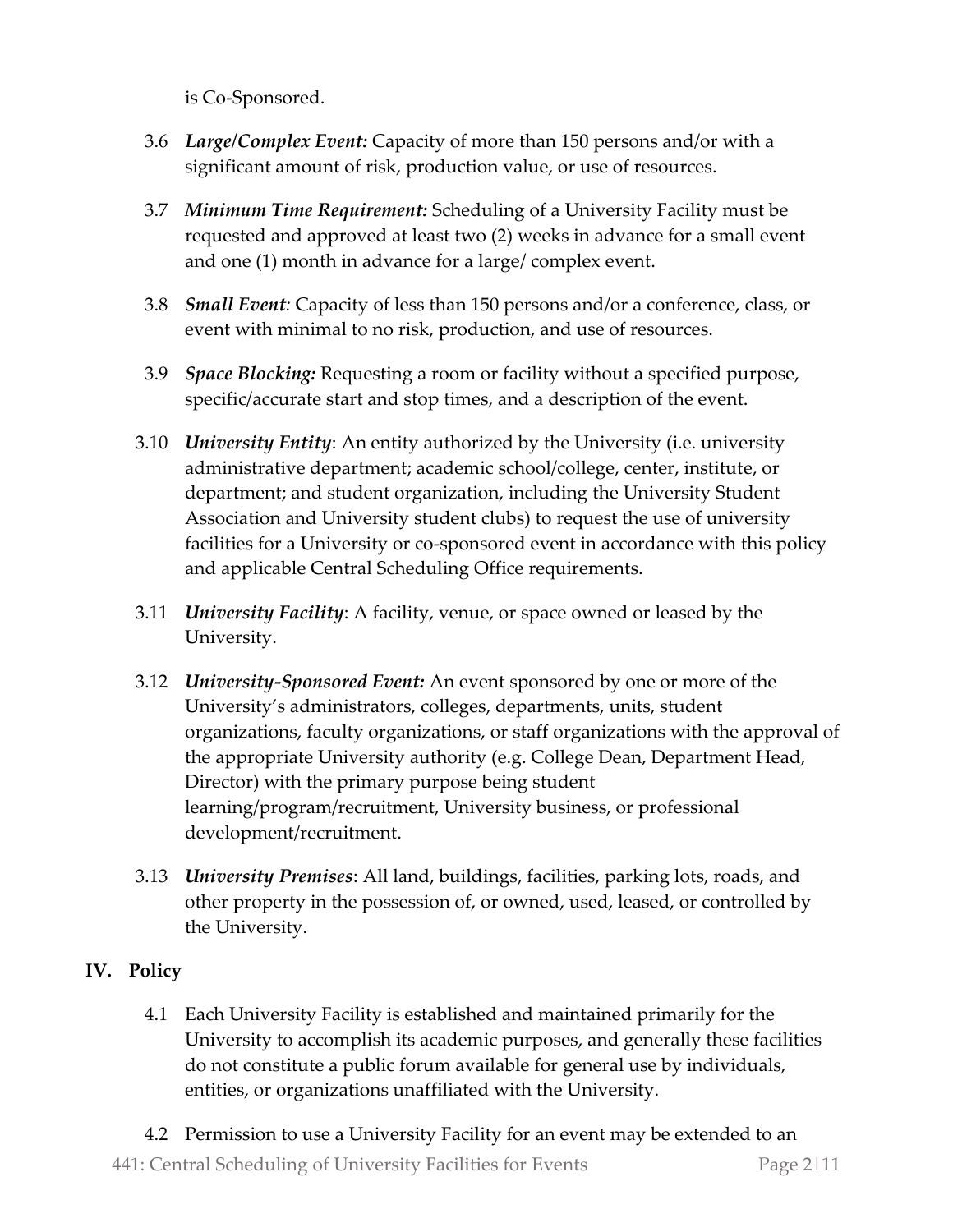is Co-Sponsored.

- 3.6 *Large/Complex Event:* Capacity of more than 150 persons and/or with a significant amount of risk, production value, or use of resources.
- 3.7 *Minimum Time Requirement:* Scheduling of a University Facility must be requested and approved at least two (2) weeks in advance for a small event and one (1) month in advance for a large/ complex event.
- 3.8 *Small Event:* Capacity of less than 150 persons and/or a conference, class, or event with minimal to no risk, production, and use of resources.
- 3.9 *Space Blocking:* Requesting a room or facility without a specified purpose, specific/accurate start and stop times, and a description of the event.
- 3.10 *University Entity*: An entity authorized by the University (i.e. university administrative department; academic school/college, center, institute, or department; and student organization, including the University Student Association and University student clubs) to request the use of university facilities for a University or co-sponsored event in accordance with this policy and applicable Central Scheduling Office requirements.
- 3.11 *University Facility*: A facility, venue, or space owned or leased by the University.
- 3.12 *University-Sponsored Event:* An event sponsored by one or more of the University's administrators, colleges, departments, units, student organizations, faculty organizations, or staff organizations with the approval of the appropriate University authority (e.g. College Dean, Department Head, Director) with the primary purpose being student learning/program/recruitment, University business, or professional development/recruitment.
- 3.13 *University Premises*: All land, buildings, facilities, parking lots, roads, and other property in the possession of, or owned, used, leased, or controlled by the University.

## **IV. Policy**

4.1 Each University Facility is established and maintained primarily for the University to accomplish its academic purposes, and generally these facilities do not constitute a public forum available for general use by individuals, entities, or organizations unaffiliated with the University.

441: Central Scheduling of University Facilities for Events Page 2|11 4.2 Permission to use a University Facility for an event may be extended to an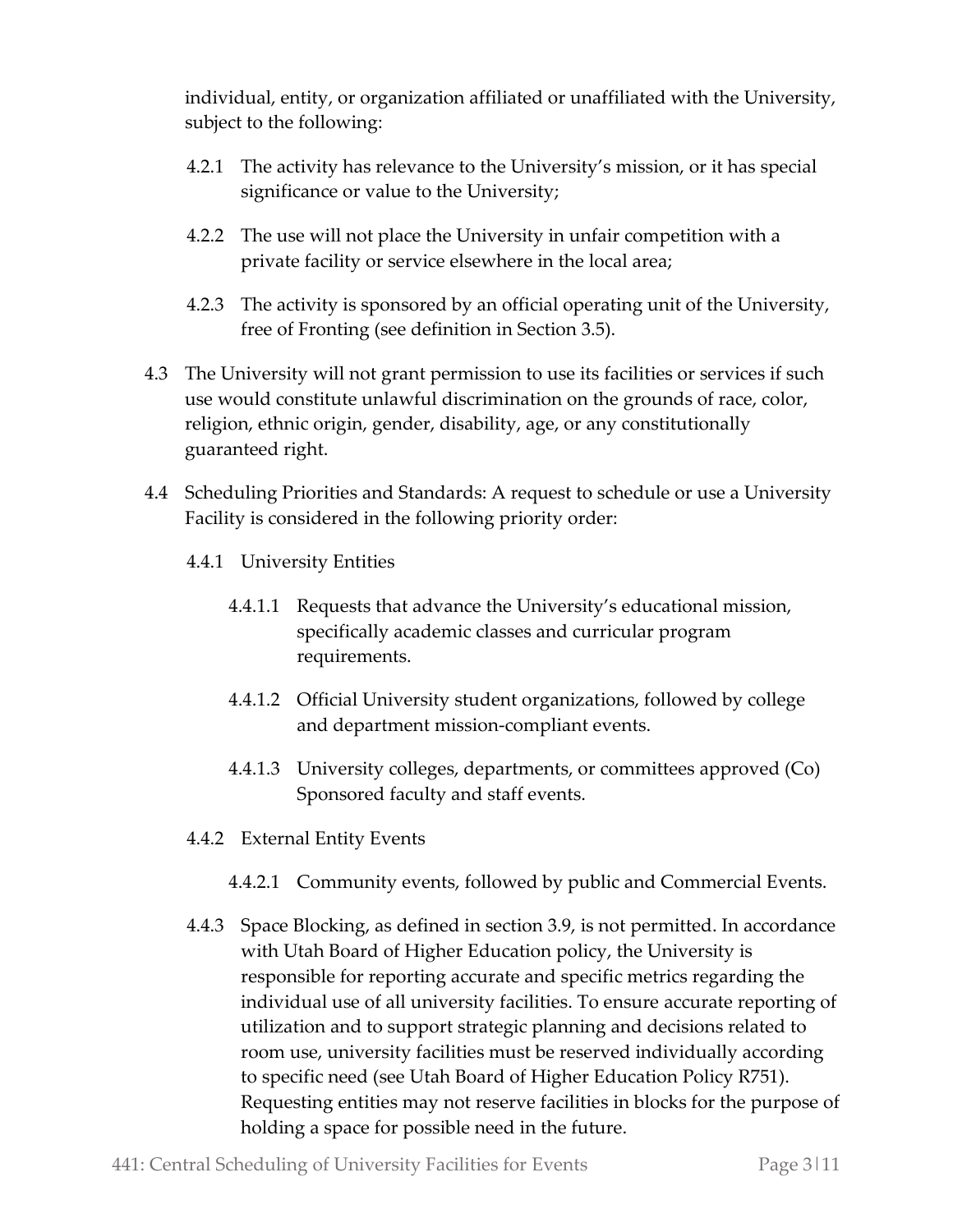individual, entity, or organization affiliated or unaffiliated with the University, subject to the following:

- 4.2.1 The activity has relevance to the University's mission, or it has special significance or value to the University;
- 4.2.2 The use will not place the University in unfair competition with a private facility or service elsewhere in the local area;
- 4.2.3 The activity is sponsored by an official operating unit of the University, free of Fronting (see definition in Section 3.5).
- 4.3 The University will not grant permission to use its facilities or services if such use would constitute unlawful discrimination on the grounds of race, color, religion, ethnic origin, gender, disability, age, or any constitutionally guaranteed right.
- 4.4 Scheduling Priorities and Standards: A request to schedule or use a University Facility is considered in the following priority order:
	- 4.4.1 University Entities
		- 4.4.1.1 Requests that advance the University's educational mission, specifically academic classes and curricular program requirements.
		- 4.4.1.2 Official University student organizations, followed by college and department mission-compliant events.
		- 4.4.1.3 University colleges, departments, or committees approved (Co) Sponsored faculty and staff events.
	- 4.4.2 External Entity Events
		- 4.4.2.1 Community events, followed by public and Commercial Events.
	- 4.4.3 Space Blocking, as defined in section 3.9, is not permitted. In accordance with Utah Board of Higher Education policy, the University is responsible for reporting accurate and specific metrics regarding the individual use of all university facilities. To ensure accurate reporting of utilization and to support strategic planning and decisions related to room use, university facilities must be reserved individually according to specific need (see Utah Board of Higher Education Policy R751). Requesting entities may not reserve facilities in blocks for the purpose of holding a space for possible need in the future.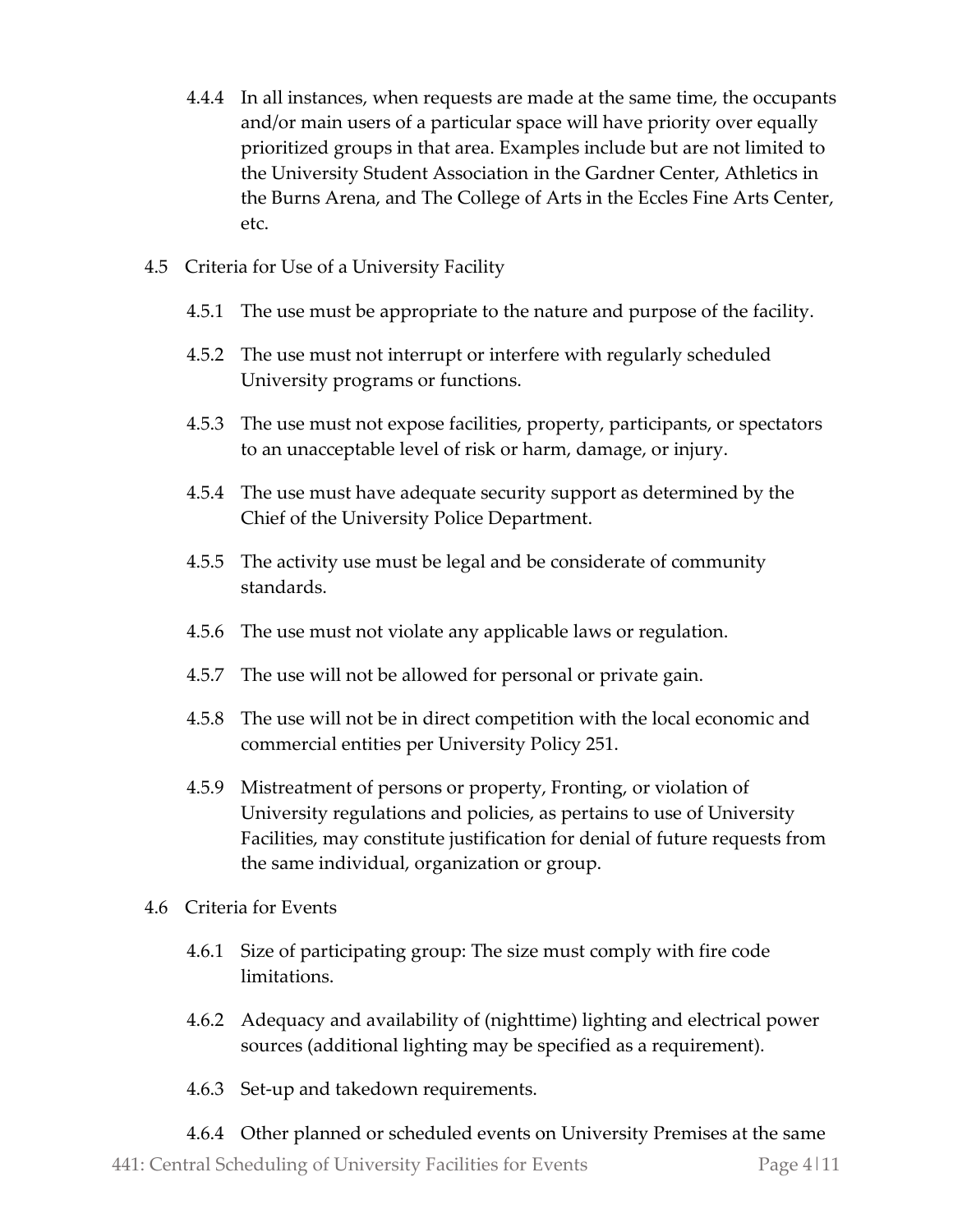- 4.4.4 In all instances, when requests are made at the same time, the occupants and/or main users of a particular space will have priority over equally prioritized groups in that area. Examples include but are not limited to the University Student Association in the Gardner Center, Athletics in the Burns Arena, and The College of Arts in the Eccles Fine Arts Center, etc.
- 4.5 Criteria for Use of a University Facility
	- 4.5.1 The use must be appropriate to the nature and purpose of the facility.
	- 4.5.2 The use must not interrupt or interfere with regularly scheduled University programs or functions.
	- 4.5.3 The use must not expose facilities, property, participants, or spectators to an unacceptable level of risk or harm, damage, or injury.
	- 4.5.4 The use must have adequate security support as determined by the Chief of the University Police Department.
	- 4.5.5 The activity use must be legal and be considerate of community standards.
	- 4.5.6 The use must not violate any applicable laws or regulation.
	- 4.5.7 The use will not be allowed for personal or private gain.
	- 4.5.8 The use will not be in direct competition with the local economic and commercial entities per University Policy 251.
	- 4.5.9 Mistreatment of persons or property, Fronting, or violation of University regulations and policies, as pertains to use of University Facilities, may constitute justification for denial of future requests from the same individual, organization or group.
- 4.6 Criteria for Events
	- 4.6.1 Size of participating group: The size must comply with fire code limitations.
	- 4.6.2 Adequacy and availability of (nighttime) lighting and electrical power sources (additional lighting may be specified as a requirement).
	- 4.6.3 Set-up and takedown requirements.
	- 4.6.4 Other planned or scheduled events on University Premises at the same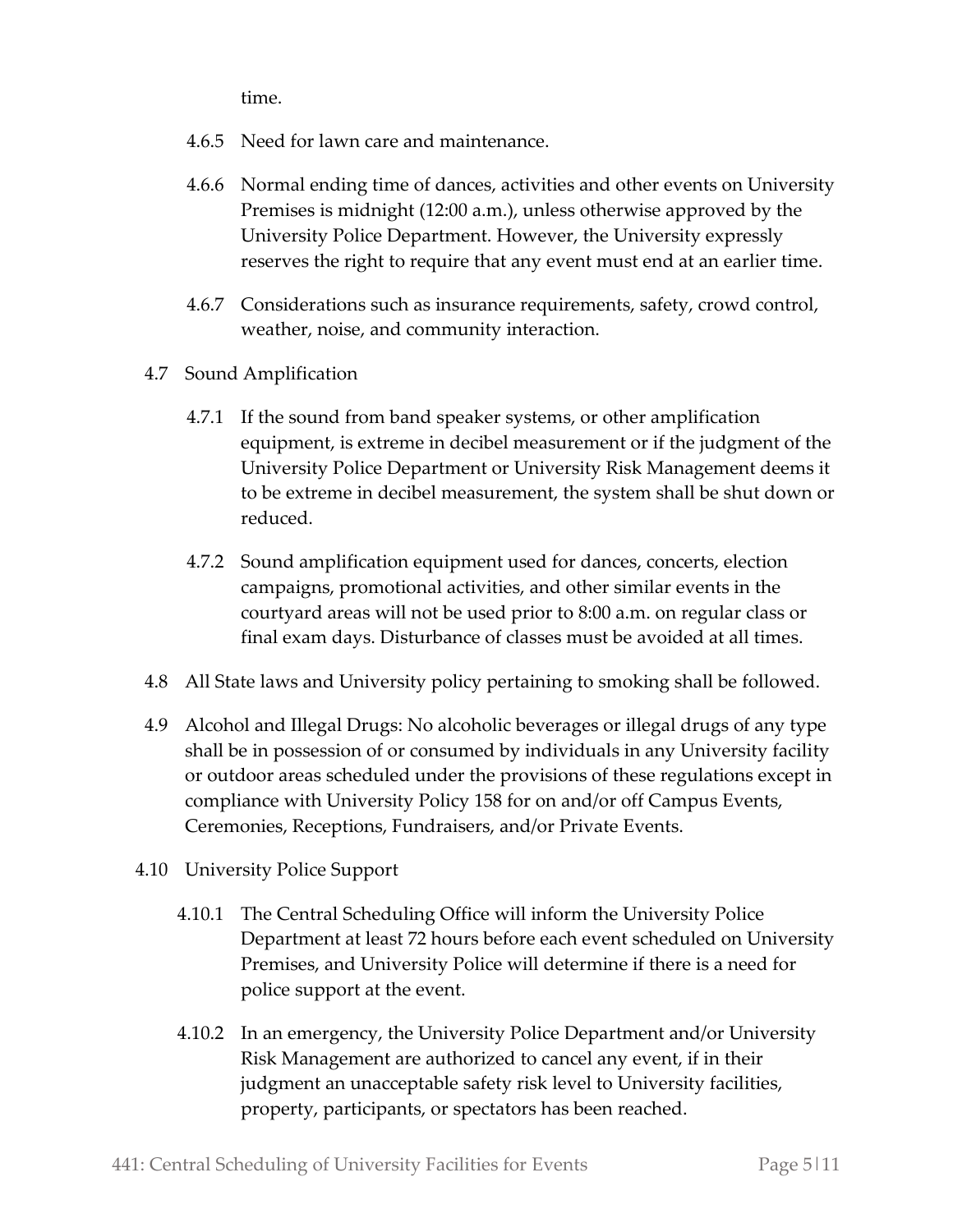time.

- 4.6.5 Need for lawn care and maintenance.
- 4.6.6 Normal ending time of dances, activities and other events on University Premises is midnight (12:00 a.m.), unless otherwise approved by the University Police Department. However, the University expressly reserves the right to require that any event must end at an earlier time.
- 4.6.7 Considerations such as insurance requirements, safety, crowd control, weather, noise, and community interaction.
- 4.7 Sound Amplification
	- 4.7.1 If the sound from band speaker systems, or other amplification equipment, is extreme in decibel measurement or if the judgment of the University Police Department or University Risk Management deems it to be extreme in decibel measurement, the system shall be shut down or reduced.
	- 4.7.2 Sound amplification equipment used for dances, concerts, election campaigns, promotional activities, and other similar events in the courtyard areas will not be used prior to 8:00 a.m. on regular class or final exam days. Disturbance of classes must be avoided at all times.
- 4.8 All State laws and University policy pertaining to smoking shall be followed.
- 4.9 Alcohol and Illegal Drugs: No alcoholic beverages or illegal drugs of any type shall be in possession of or consumed by individuals in any University facility or outdoor areas scheduled under the provisions of these regulations except in compliance with University Policy 158 for on and/or off Campus Events, Ceremonies, Receptions, Fundraisers, and/or Private Events.
- 4.10 University Police Support
	- 4.10.1 The Central Scheduling Office will inform the University Police Department at least 72 hours before each event scheduled on University Premises, and University Police will determine if there is a need for police support at the event.
	- 4.10.2 In an emergency, the University Police Department and/or University Risk Management are authorized to cancel any event, if in their judgment an unacceptable safety risk level to University facilities, property, participants, or spectators has been reached.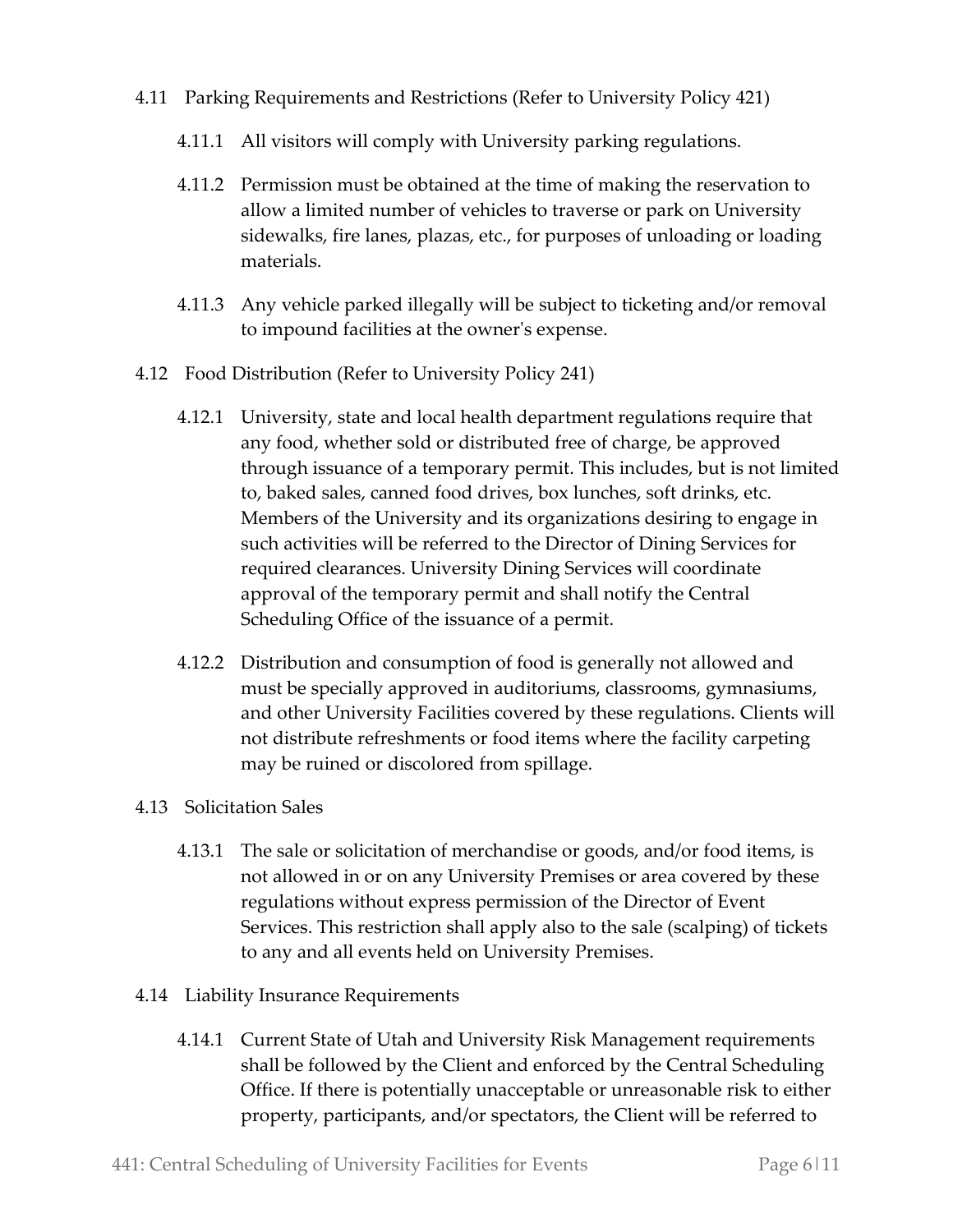- 4.11 Parking Requirements and Restrictions (Refer to University Policy 421)
	- 4.11.1 All visitors will comply with University parking regulations.
	- 4.11.2 Permission must be obtained at the time of making the reservation to allow a limited number of vehicles to traverse or park on University sidewalks, fire lanes, plazas, etc., for purposes of unloading or loading materials.
	- 4.11.3 Any vehicle parked illegally will be subject to ticketing and/or removal to impound facilities at the owner's expense.
- 4.12 Food Distribution (Refer to University Policy 241)
	- 4.12.1 University, state and local health department regulations require that any food, whether sold or distributed free of charge, be approved through issuance of a temporary permit. This includes, but is not limited to, baked sales, canned food drives, box lunches, soft drinks, etc. Members of the University and its organizations desiring to engage in such activities will be referred to the Director of Dining Services for required clearances. University Dining Services will coordinate approval of the temporary permit and shall notify the Central Scheduling Office of the issuance of a permit.
	- 4.12.2 Distribution and consumption of food is generally not allowed and must be specially approved in auditoriums, classrooms, gymnasiums, and other University Facilities covered by these regulations. Clients will not distribute refreshments or food items where the facility carpeting may be ruined or discolored from spillage.
- 4.13 Solicitation Sales
	- 4.13.1 The sale or solicitation of merchandise or goods, and/or food items, is not allowed in or on any University Premises or area covered by these regulations without express permission of the Director of Event Services. This restriction shall apply also to the sale (scalping) of tickets to any and all events held on University Premises.
- 4.14 Liability Insurance Requirements
	- 4.14.1 Current State of Utah and University Risk Management requirements shall be followed by the Client and enforced by the Central Scheduling Office. If there is potentially unacceptable or unreasonable risk to either property, participants, and/or spectators, the Client will be referred to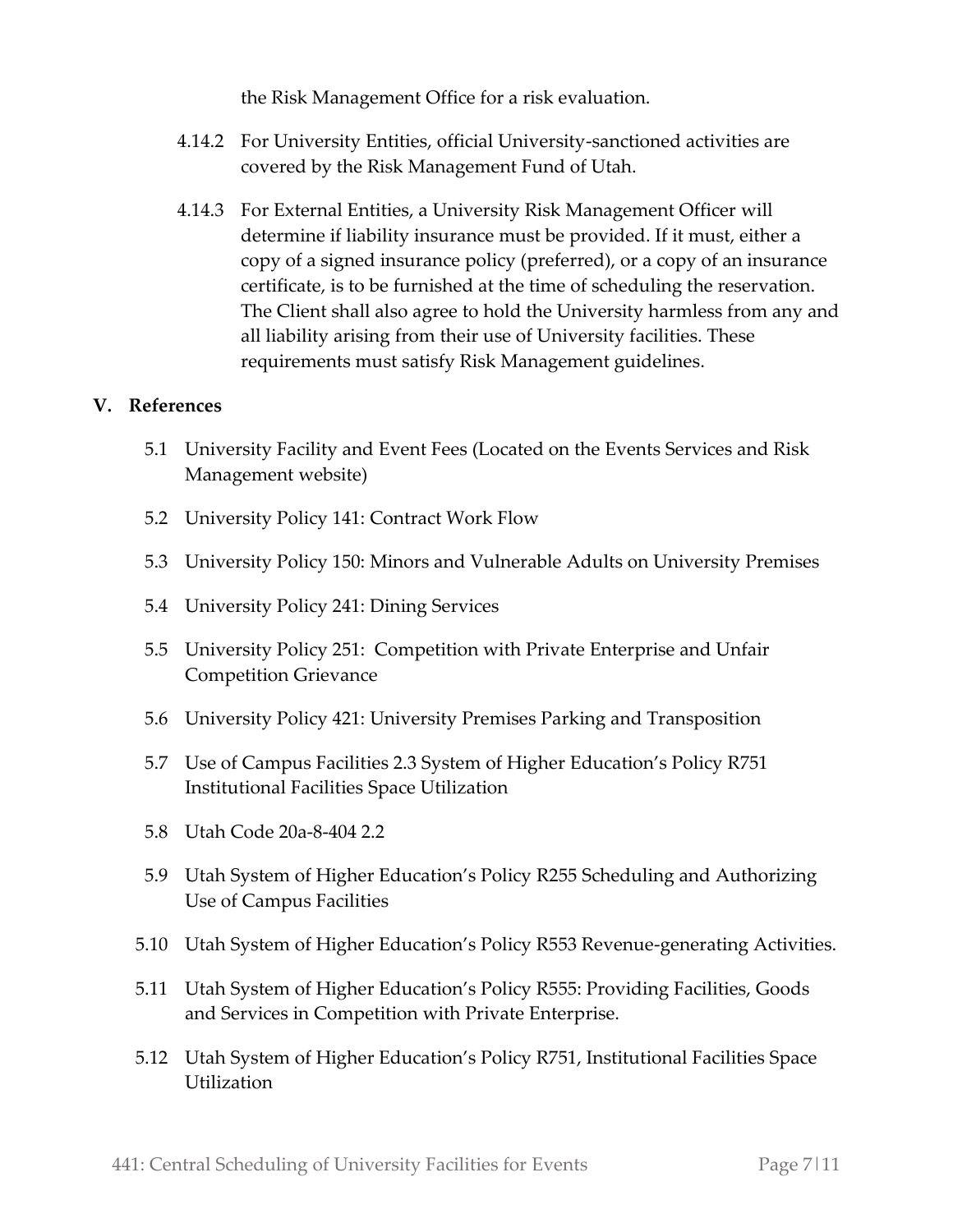the Risk Management Office for a risk evaluation.

- 4.14.2 For University Entities, official University-sanctioned activities are covered by the Risk Management Fund of Utah.
- 4.14.3 For External Entities, a University Risk Management Officer will determine if liability insurance must be provided. If it must, either a copy of a signed insurance policy (preferred), or a copy of an insurance certificate, is to be furnished at the time of scheduling the reservation. The Client shall also agree to hold the University harmless from any and all liability arising from their use of University facilities. These requirements must satisfy Risk Management guidelines.

## **V. References**

- 5.1 University Facility and Event Fees (Located on the Events Services and Risk Management website)
- 5.2 University Policy 141: Contract Work Flow
- 5.3 University Policy 150: Minors and Vulnerable Adults on University Premises
- 5.4 University Policy 241: Dining Services
- 5.5 University Policy 251: Competition with Private Enterprise and Unfair Competition Grievance
- 5.6 University Policy 421: University Premises Parking and Transposition
- 5.7 Use of Campus Facilities 2.3 System of Higher Education's Policy R751 Institutional Facilities Space Utilization
- 5.8 Utah Code 20a-8-404 2.2
- 5.9 Utah System of Higher Education's Policy R255 Scheduling and Authorizing Use of Campus Facilities
- 5.10 Utah System of Higher Education's Policy R553 Revenue-generating Activities.
- 5.11 Utah System of Higher Education's Policy R555: Providing Facilities, Goods and Services in Competition with Private Enterprise.
- 5.12 Utah System of Higher Education's Policy R751, Institutional Facilities Space **Utilization**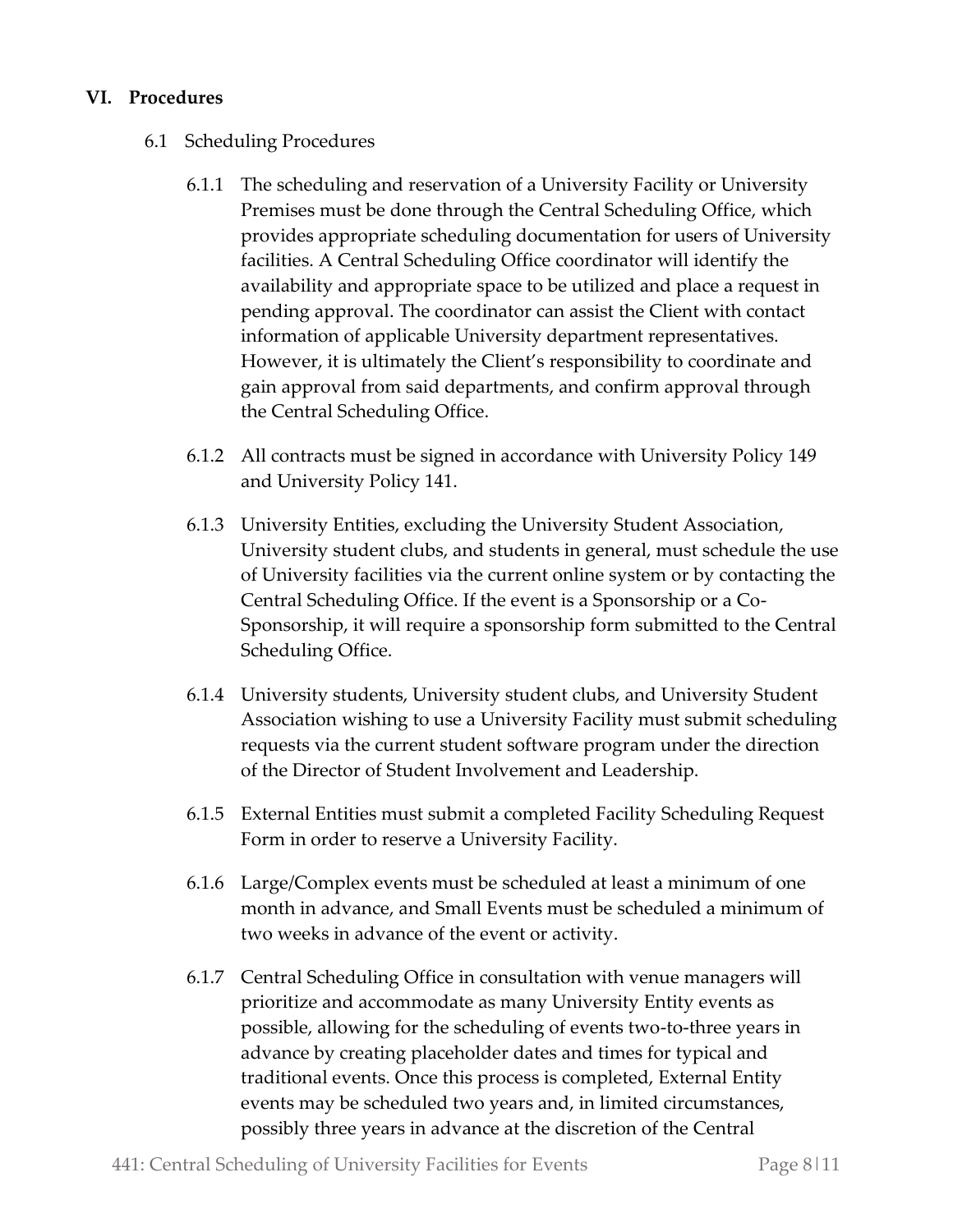## **VI. Procedures**

- 6.1 Scheduling Procedures
	- 6.1.1 The scheduling and reservation of a University Facility or University Premises must be done through the Central Scheduling Office, which provides appropriate scheduling documentation for users of University facilities. A Central Scheduling Office coordinator will identify the availability and appropriate space to be utilized and place a request in pending approval. The coordinator can assist the Client with contact information of applicable University department representatives. However, it is ultimately the Client's responsibility to coordinate and gain approval from said departments, and confirm approval through the Central Scheduling Office.
	- 6.1.2 All contracts must be signed in accordance with University Policy 149 and University Policy 141.
	- 6.1.3 University Entities, excluding the University Student Association, University student clubs, and students in general, must schedule the use of University facilities via the current online system or by contacting the Central Scheduling Office. If the event is a Sponsorship or a Co-Sponsorship, it will require a sponsorship form submitted to the Central Scheduling Office.
	- 6.1.4 University students, University student clubs, and University Student Association wishing to use a University Facility must submit scheduling requests via the current student software program under the direction of the Director of Student Involvement and Leadership.
	- 6.1.5 External Entities must submit a completed Facility Scheduling Request Form in order to reserve a University Facility.
	- 6.1.6 Large/Complex events must be scheduled at least a minimum of one month in advance, and Small Events must be scheduled a minimum of two weeks in advance of the event or activity.
	- 6.1.7 Central Scheduling Office in consultation with venue managers will prioritize and accommodate as many University Entity events as possible, allowing for the scheduling of events two-to-three years in advance by creating placeholder dates and times for typical and traditional events. Once this process is completed, External Entity events may be scheduled two years and, in limited circumstances, possibly three years in advance at the discretion of the Central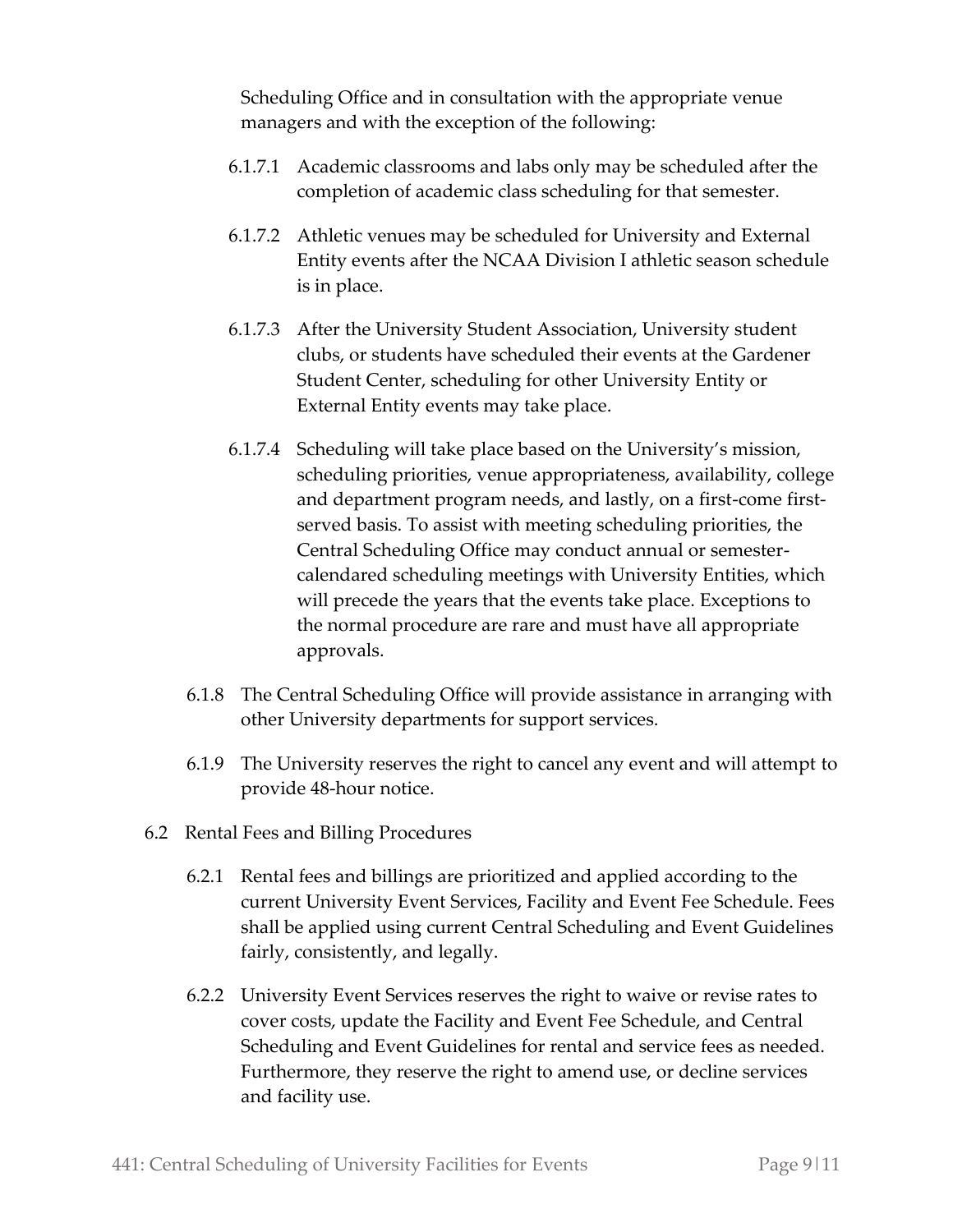Scheduling Office and in consultation with the appropriate venue managers and with the exception of the following:

- 6.1.7.1 Academic classrooms and labs only may be scheduled after the completion of academic class scheduling for that semester.
- 6.1.7.2 Athletic venues may be scheduled for University and External Entity events after the NCAA Division I athletic season schedule is in place.
- 6.1.7.3 After the University Student Association, University student clubs, or students have scheduled their events at the Gardener Student Center, scheduling for other University Entity or External Entity events may take place.
- 6.1.7.4 Scheduling will take place based on the University's mission, scheduling priorities, venue appropriateness, availability, college and department program needs, and lastly, on a first-come firstserved basis. To assist with meeting scheduling priorities, the Central Scheduling Office may conduct annual or semestercalendared scheduling meetings with University Entities, which will precede the years that the events take place. Exceptions to the normal procedure are rare and must have all appropriate approvals.
- 6.1.8 The Central Scheduling Office will provide assistance in arranging with other University departments for support services.
- 6.1.9 The University reserves the right to cancel any event and will attempt to provide 48-hour notice.
- 6.2 Rental Fees and Billing Procedures
	- 6.2.1 Rental fees and billings are prioritized and applied according to the current University Event Services, Facility and Event Fee Schedule. Fees shall be applied using current Central Scheduling and Event Guidelines fairly, consistently, and legally.
	- 6.2.2 University Event Services reserves the right to waive or revise rates to cover costs, update the Facility and Event Fee Schedule, and Central Scheduling and Event Guidelines for rental and service fees as needed. Furthermore, they reserve the right to amend use, or decline services and facility use.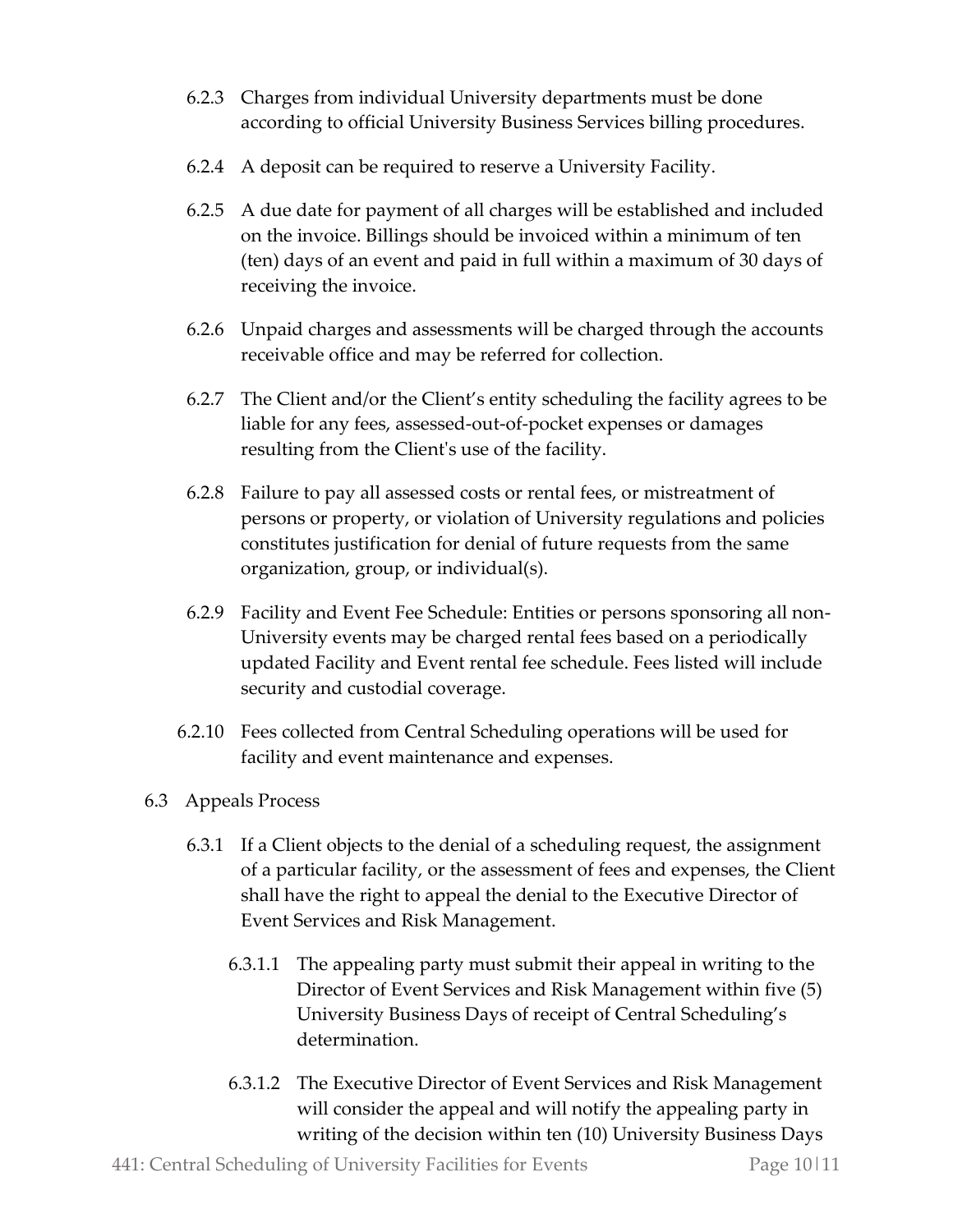- 6.2.3 Charges from individual University departments must be done according to official University Business Services billing procedures.
- 6.2.4 A deposit can be required to reserve a University Facility.
- 6.2.5 A due date for payment of all charges will be established and included on the invoice. Billings should be invoiced within a minimum of ten (ten) days of an event and paid in full within a maximum of 30 days of receiving the invoice.
- 6.2.6 Unpaid charges and assessments will be charged through the accounts receivable office and may be referred for collection.
- 6.2.7 The Client and/or the Client's entity scheduling the facility agrees to be liable for any fees, assessed-out-of-pocket expenses or damages resulting from the Client's use of the facility.
- 6.2.8 Failure to pay all assessed costs or rental fees, or mistreatment of persons or property, or violation of University regulations and policies constitutes justification for denial of future requests from the same organization, group, or individual(s).
- 6.2.9 Facility and Event Fee Schedule: Entities or persons sponsoring all non-University events may be charged rental fees based on a periodically updated Facility and Event rental fee schedule. Fees listed will include security and custodial coverage.
- 6.2.10 Fees collected from Central Scheduling operations will be used for facility and event maintenance and expenses.
- 6.3 Appeals Process
	- 6.3.1 If a Client objects to the denial of a scheduling request, the assignment of a particular facility, or the assessment of fees and expenses, the Client shall have the right to appeal the denial to the Executive Director of Event Services and Risk Management.
		- 6.3.1.1 The appealing party must submit their appeal in writing to the Director of Event Services and Risk Management within five (5) University Business Days of receipt of Central Scheduling's determination.
		- 6.3.1.2 The Executive Director of Event Services and Risk Management will consider the appeal and will notify the appealing party in writing of the decision within ten (10) University Business Days